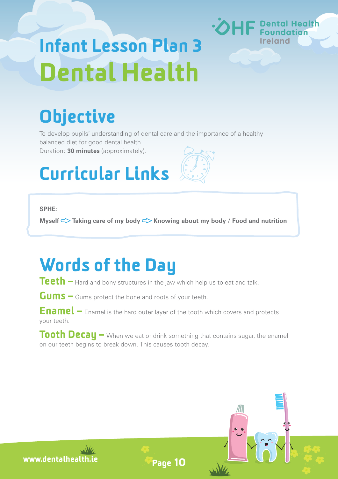# Infant Lesson Plan 3 Dental Health

# **Objective**

To develop pupils' understanding of dental care and the importance of a healthy balanced diet for good dental health.

Duration: **30 minutes** (approximately).

# Curricular Links

#### **SPHE:**

**Myself**  $\leq$  **Taking care of my body**  $\leq$  **Knowing about my body / Food and nutrition** 

### Words of the Day

Teeth – Hard and bony structures in the jaw which help us to eat and talk.

Gums – Gums protect the bone and roots of your teeth.

Enamel – Enamel is the hard outer layer of the tooth which covers and protects your teeth.

Tooth Decay – When we eat or drink something that contains sugar, the enamel on our teeth begins to break down. This causes tooth decay.









Page 10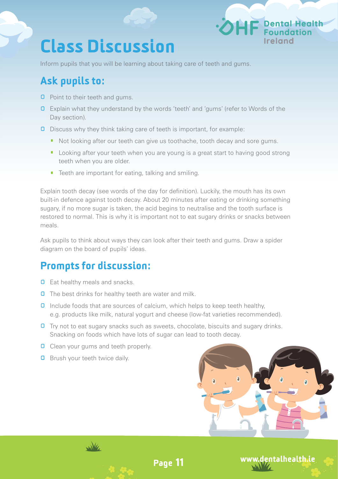### Class Discussion

Inform pupils that you will be learning about taking care of teeth and gums.

#### Ask pupils to:

- **0** Point to their teeth and gums.
- **0** Explain what they understand by the words 'teeth' and 'gums' (refer to Words of the Day section).
- **0** Discuss why they think taking care of teeth is important, for example:
	- Not looking after our teeth can give us toothache, tooth decay and sore gums.
	- · Looking after your teeth when you are young is a great start to having good strong teeth when you are older.
	- · Teeth are important for eating, talking and smiling.

Explain tooth decay (see words of the day for definition). Luckily, the mouth has its own built-in defence against tooth decay. About 20 minutes after eating or drinking something sugary, if no more sugar is taken, the acid begins to neutralise and the tooth surface is restored to normal. This is why it is important not to eat sugary drinks or snacks between meals.

Ask pupils to think about ways they can look after their teeth and gums. Draw a spider diagram on the board of pupils' ideas.

#### Prompts for discussion:

- **0** Eat healthy meals and snacks.
- **O** The best drinks for healthy teeth are water and milk.
- **Q** Include foods that are sources of calcium, which helps to keep teeth healthy, e.g. products like milk, natural yogurt and cheese (low-fat varieties recommended).
- **O** Try not to eat sugary snacks such as sweets, chocolate, biscuits and sugary drinks. Snacking on foods which have lots of sugar can lead to tooth decay.

Page 11

- **O** Clean your gums and teeth properly.
- **Q** Brush your teeth twice daily.





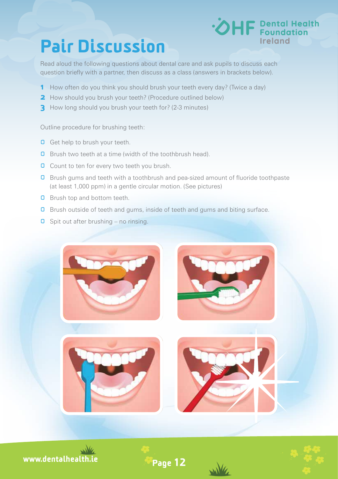### Pair Discussion



Read aloud the following questions about dental care and ask pupils to discuss each question briefly with a partner, then discuss as a class (answers in brackets below).

- 1 How often do you think you should brush your teeth every day? (Twice a day)
- **2** How should you brush your teeth? (Procedure outlined below)
- **3** How long should you brush your teeth for? (2-3 minutes)

Outline procedure for brushing teeth:

- **Q** Get help to brush your teeth.
- **0** Brush two teeth at a time (width of the toothbrush head).
- **O** Count to ten for every two teeth you brush.
- **Q** Brush gums and teeth with a toothbrush and pea-sized amount of fluoride toothpaste (at least 1,000 ppm) in a gentle circular motion. (See pictures)
- **Q** Brush top and bottom teeth.
- **Q** Brush outside of teeth and gums, inside of teeth and gums and biting surface.
- $\Box$  Spit out after brushing no rinsing.